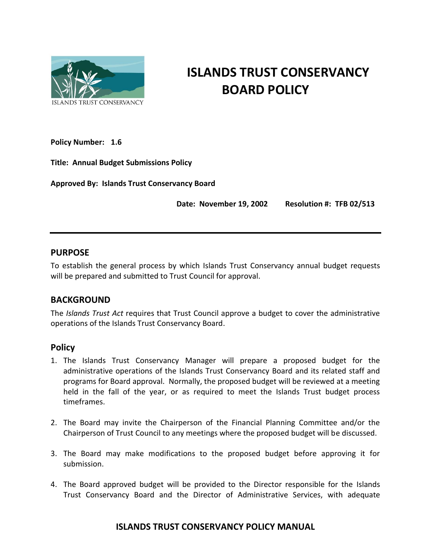

# **ISLANDS TRUST CONSERVANCY BOARD POLICY**

**Policy Number: 1.6**

**Title: Annual Budget Submissions Policy**

**Approved By: Islands Trust Conservancy Board** 

 **Date: November 19, 2002 Resolution #: TFB 02/513**

#### **PURPOSE**

To establish the general process by which Islands Trust Conservancy annual budget requests will be prepared and submitted to Trust Council for approval.

### **BACKGROUND**

The *Islands Trust Act* requires that Trust Council approve a budget to cover the administrative operations of the Islands Trust Conservancy Board.

### **Policy**

- 1. The Islands Trust Conservancy Manager will prepare a proposed budget for the administrative operations of the Islands Trust Conservancy Board and its related staff and programs for Board approval. Normally, the proposed budget will be reviewed at a meeting held in the fall of the year, or as required to meet the Islands Trust budget process timeframes.
- 2. The Board may invite the Chairperson of the Financial Planning Committee and/or the Chairperson of Trust Council to any meetings where the proposed budget will be discussed.
- 3. The Board may make modifications to the proposed budget before approving it for submission.
- 4. The Board approved budget will be provided to the Director responsible for the Islands Trust Conservancy Board and the Director of Administrative Services, with adequate